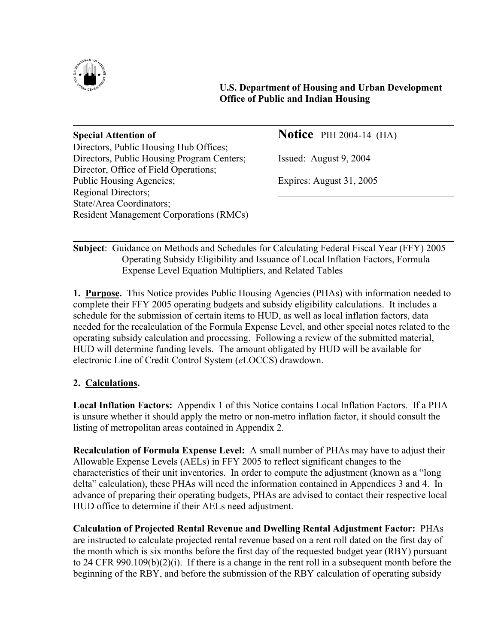

 **U.S. Department of Housing and Urban Development Office of Public and Indian Housing** 

| <b>Special Attention of</b>                    | <b>Notice</b> PIH 2004-14 (HA) |
|------------------------------------------------|--------------------------------|
| Directors, Public Housing Hub Offices;         |                                |
| Directors, Public Housing Program Centers;     | Issued: August 9, 2004         |
| Director, Office of Field Operations;          |                                |
| Public Housing Agencies;                       | Expires: August 31, 2005       |
| <b>Regional Directors;</b>                     |                                |
| State/Area Coordinators;                       |                                |
| <b>Resident Management Corporations (RMCs)</b> |                                |
|                                                |                                |

 $\overline{a}$ **Subject**: Guidance on Methods and Schedules for Calculating Federal Fiscal Year (FFY) 2005 Operating Subsidy Eligibility and Issuance of Local Inflation Factors, Formula Expense Level Equation Multipliers, and Related Tables

**1. Purpose.** This Notice provides Public Housing Agencies (PHAs) with information needed to complete their FFY 2005 operating budgets and subsidy eligibility calculations. It includes a schedule for the submission of certain items to HUD, as well as local inflation factors, data needed for the recalculation of the Formula Expense Level, and other special notes related to the operating subsidy calculation and processing. Following a review of the submitted material, HUD will determine funding levels. The amount obligated by HUD will be available for electronic Line of Credit Control System (*e*LOCCS) drawdown.

## **2. Calculations.**

**Local Inflation Factors:** Appendix 1 of this Notice contains Local Inflation Factors. If a PHA is unsure whether it should apply the metro or non-metro inflation factor, it should consult the listing of metropolitan areas contained in Appendix 2.

**Recalculation of Formula Expense Level:** A small number of PHAs may have to adjust their Allowable Expense Levels (AELs) in FFY 2005 to reflect significant changes to the characteristics of their unit inventories. In order to compute the adjustment (known as a "long delta" calculation), these PHAs will need the information contained in Appendices 3 and 4. In advance of preparing their operating budgets, PHAs are advised to contact their respective local HUD office to determine if their AELs need adjustment.

**Calculation of Projected Rental Revenue and Dwelling Rental Adjustment Factor:** PHAs are instructed to calculate projected rental revenue based on a rent roll dated on the first day of the month which is six months before the first day of the requested budget year (RBY) pursuant to 24 CFR 990.109(b)(2)(i). If there is a change in the rent roll in a subsequent month before the beginning of the RBY, and before the submission of the RBY calculation of operating subsidy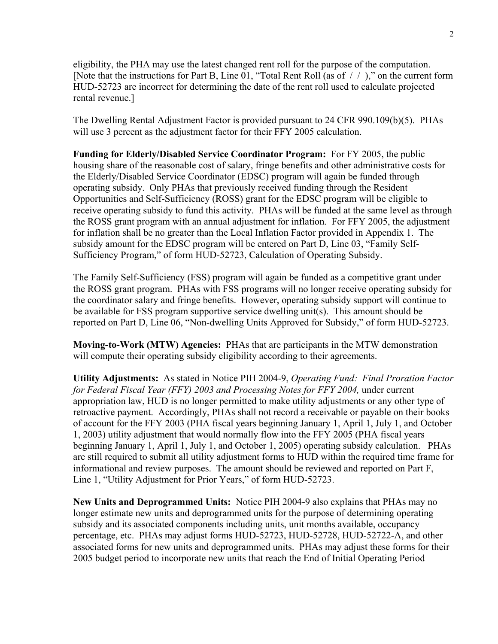eligibility, the PHA may use the latest changed rent roll for the purpose of the computation. [Note that the instructions for Part B, Line 01, "Total Rent Roll (as of / / )," on the current form HUD-52723 are incorrect for determining the date of the rent roll used to calculate projected rental revenue.]

The Dwelling Rental Adjustment Factor is provided pursuant to 24 CFR 990.109(b)(5). PHAs will use 3 percent as the adjustment factor for their FFY 2005 calculation.

**Funding for Elderly/Disabled Service Coordinator Program:** For FY 2005, the public housing share of the reasonable cost of salary, fringe benefits and other administrative costs for the Elderly/Disabled Service Coordinator (EDSC) program will again be funded through operating subsidy. Only PHAs that previously received funding through the Resident Opportunities and Self-Sufficiency (ROSS) grant for the EDSC program will be eligible to receive operating subsidy to fund this activity. PHAs will be funded at the same level as through the ROSS grant program with an annual adjustment for inflation. For FFY 2005, the adjustment for inflation shall be no greater than the Local Inflation Factor provided in Appendix 1. The subsidy amount for the EDSC program will be entered on Part D, Line 03, "Family Self-Sufficiency Program," of form HUD-52723, Calculation of Operating Subsidy.

The Family Self-Sufficiency (FSS) program will again be funded as a competitive grant under the ROSS grant program. PHAs with FSS programs will no longer receive operating subsidy for the coordinator salary and fringe benefits. However, operating subsidy support will continue to be available for FSS program supportive service dwelling unit(s). This amount should be reported on Part D, Line 06, "Non-dwelling Units Approved for Subsidy," of form HUD-52723.

**Moving-to-Work (MTW) Agencies:** PHAs that are participants in the MTW demonstration will compute their operating subsidy eligibility according to their agreements.

**Utility Adjustments:** As stated in Notice PIH 2004-9, *Operating Fund: Final Proration Factor for Federal Fiscal Year (FFY) 2003 and Processing Notes for FFY 2004,* under current appropriation law, HUD is no longer permitted to make utility adjustments or any other type of retroactive payment. Accordingly, PHAs shall not record a receivable or payable on their books of account for the FFY 2003 (PHA fiscal years beginning January 1, April 1, July 1, and October 1, 2003) utility adjustment that would normally flow into the FFY 2005 (PHA fiscal years beginning January 1, April 1, July 1, and October 1, 2005) operating subsidy calculation. PHAs are still required to submit all utility adjustment forms to HUD within the required time frame for informational and review purposes. The amount should be reviewed and reported on Part F, Line 1, "Utility Adjustment for Prior Years," of form HUD-52723.

**New Units and Deprogrammed Units:** Notice PIH 2004-9 also explains that PHAs may no longer estimate new units and deprogrammed units for the purpose of determining operating subsidy and its associated components including units, unit months available, occupancy percentage, etc. PHAs may adjust forms HUD-52723, HUD-52728, HUD-52722-A, and other associated forms for new units and deprogrammed units. PHAs may adjust these forms for their 2005 budget period to incorporate new units that reach the End of Initial Operating Period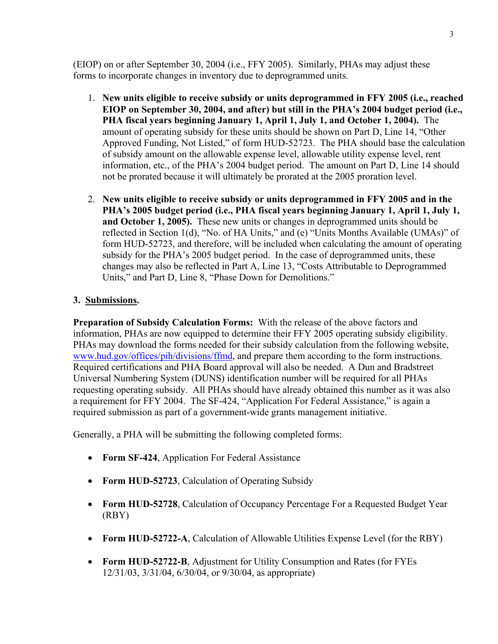(EIOP) on or after September 30, 2004 (i.e., FFY 2005). Similarly, PHAs may adjust these forms to incorporate changes in inventory due to deprogrammed units.

- 1. **New units eligible to receive subsidy or units deprogrammed in FFY 2005 (i.e., reached EIOP on September 30, 2004, and after) but still in the PHA's 2004 budget period (i.e., PHA fiscal years beginning January 1, April 1, July 1, and October 1, 2004).** The amount of operating subsidy for these units should be shown on Part D, Line 14, "Other Approved Funding, Not Listed," of form HUD-52723. The PHA should base the calculation of subsidy amount on the allowable expense level, allowable utility expense level, rent information, etc., of the PHA's 2004 budget period. The amount on Part D, Line 14 should not be prorated because it will ultimately be prorated at the 2005 proration level.
- 2. **New units eligible to receive subsidy or units deprogrammed in FFY 2005 and in the PHA's 2005 budget period (i.e., PHA fiscal years beginning January 1, April 1, July 1, and October 1, 2005).** These new units or changes in deprogrammed units should be reflected in Section 1(d), "No. of HA Units," and (e) "Units Months Available (UMAs)" of form HUD-52723, and therefore, will be included when calculating the amount of operating subsidy for the PHA's 2005 budget period. In the case of deprogrammed units, these changes may also be reflected in Part A, Line 13, "Costs Attributable to Deprogrammed Units," and Part D, Line 8, "Phase Down for Demolitions."

## **3. Submissions.**

**Preparation of Subsidy Calculation Forms:** With the release of the above factors and information, PHAs are now equipped to determine their FFY 2005 operating subsidy eligibility. PHAs may download the forms needed for their subsidy calculation from the following website, www.hud.gov/offices/pih/divisions/ffmd, and prepare them according to the form instructions. Required certifications and PHA Board approval will also be needed. A Dun and Bradstreet Universal Numbering System (DUNS) identification number will be required for all PHAs requesting operating subsidy. All PHAs should have already obtained this number as it was also a requirement for FFY 2004. The SF-424, "Application For Federal Assistance," is again a required submission as part of a government-wide grants management initiative.

Generally, a PHA will be submitting the following completed forms:

- **Form SF-424**, Application For Federal Assistance
- **Form HUD-52723**, Calculation of Operating Subsidy
- **Form HUD-52728, Calculation of Occupancy Percentage For a Requested Budget Year** (RBY)
- **Form HUD-52722-A**, Calculation of Allowable Utilities Expense Level (for the RBY)
- **Form HUD-52722-B**, Adjustment for Utility Consumption and Rates (for FYEs 12/31/03, 3/31/04, 6/30/04, or 9/30/04, as appropriate)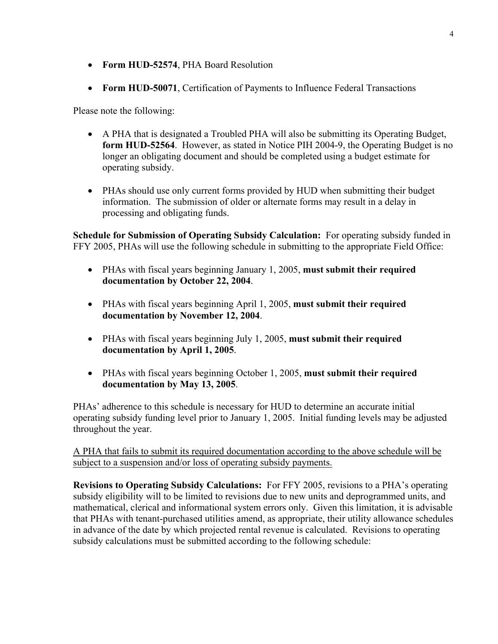- **Form HUD-52574**, PHA Board Resolution
- **Form HUD-50071**, Certification of Payments to Influence Federal Transactions

Please note the following:

- A PHA that is designated a Troubled PHA will also be submitting its Operating Budget, **form HUD-52564**. However, as stated in Notice PIH 2004-9, the Operating Budget is no longer an obligating document and should be completed using a budget estimate for operating subsidy.
- PHAs should use only current forms provided by HUD when submitting their budget information. The submission of older or alternate forms may result in a delay in processing and obligating funds.

**Schedule for Submission of Operating Subsidy Calculation:** For operating subsidy funded in FFY 2005, PHAs will use the following schedule in submitting to the appropriate Field Office:

- PHAs with fiscal years beginning January 1, 2005, **must submit their required documentation by October 22, 2004**.
- PHAs with fiscal years beginning April 1, 2005, **must submit their required documentation by November 12, 2004**.
- PHAs with fiscal years beginning July 1, 2005, **must submit their required documentation by April 1, 2005**.
- PHAs with fiscal years beginning October 1, 2005, **must submit their required documentation by May 13, 2005**.

PHAs' adherence to this schedule is necessary for HUD to determine an accurate initial operating subsidy funding level prior to January 1, 2005. Initial funding levels may be adjusted throughout the year.

A PHA that fails to submit its required documentation according to the above schedule will be subject to a suspension and/or loss of operating subsidy payments.

**Revisions to Operating Subsidy Calculations:** For FFY 2005, revisions to a PHA's operating subsidy eligibility will to be limited to revisions due to new units and deprogrammed units, and mathematical, clerical and informational system errors only. Given this limitation, it is advisable that PHAs with tenant-purchased utilities amend, as appropriate, their utility allowance schedules in advance of the date by which projected rental revenue is calculated. Revisions to operating subsidy calculations must be submitted according to the following schedule: